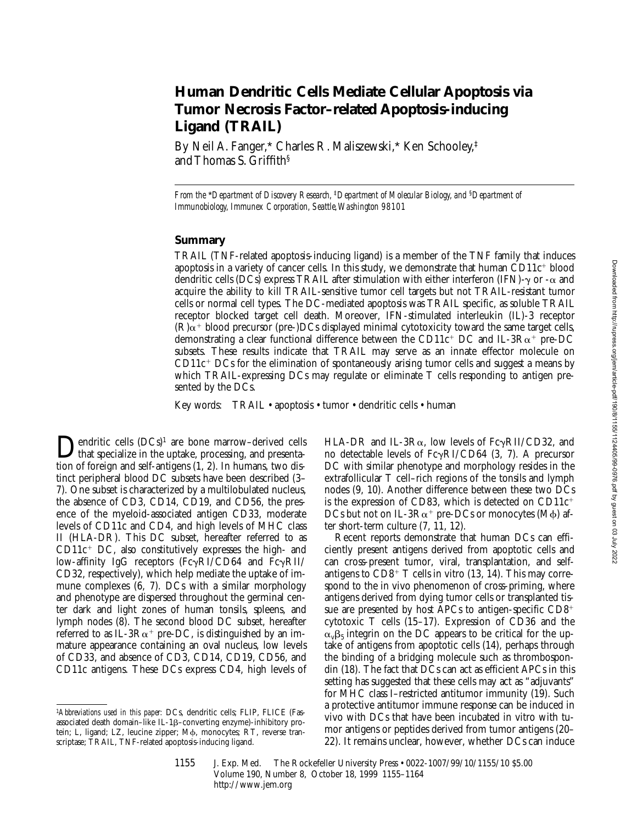# **Human Dendritic Cells Mediate Cellular Apoptosis via Tumor Necrosis Factor–related Apoptosis-inducing Ligand (TRAIL)**

By Neil A. Fanger,\* Charles R. Maliszewski,\* Ken Schooley,‡ and Thomas S. Griffith§

*From the* \**Department of Discovery Research,* ‡*Department of Molecular Biology, and* §*Department of Immunobiology, Immunex Corporation, Seattle, Washington 98101*

## **Summary**

TRAIL (TNF-related apoptosis-inducing ligand) is a member of the TNF family that induces apoptosis in a variety of cancer cells. In this study, we demonstrate that human  $CD11c^+$  blood dendritic cells (DCs) express TRAIL after stimulation with either interferon (IFN)- $\gamma$  or - $\alpha$  and acquire the ability to kill TRAIL-sensitive tumor cell targets but not TRAIL-resistant tumor cells or normal cell types. The DC-mediated apoptosis was TRAIL specific, as soluble TRAIL receptor blocked target cell death. Moreover, IFN-stimulated interleukin (IL)-3 receptor  $(R)\alpha$ <sup>+</sup> blood precursor (pre-)DCs displayed minimal cytotoxicity toward the same target cells, demonstrating a clear functional difference between the CD11 $c^+$  DC and IL-3R $\alpha^+$  pre-DC subsets. These results indicate that TRAIL may serve as an innate effector molecule on  $CD11c<sup>+</sup>DCs$  for the elimination of spontaneously arising tumor cells and suggest a means by which TRAIL-expressing DCs may regulate or eliminate T cells responding to antigen presented by the DCs.

Key words: TRAIL • apoptosis • tumor • dendritic cells • human

**Dendritic cells**  $(DCs)^1$  are bone marrow–derived cells<br>that specialize in the uptake, processing, and presenta-<br>tion of fonsion and self-articons  $(1, 2)$ . In humans, two distion of foreign and self-antigens (1, 2). In humans, two distinct peripheral blood DC subsets have been described (3– 7). One subset is characterized by a multilobulated nucleus, the absence of CD3, CD14, CD19, and CD56, the presence of the myeloid-associated antigen CD33, moderate levels of CD11c and CD4, and high levels of MHC class II (HLA-DR). This DC subset, hereafter referred to as  $CD11c^{+}$  DC, also constitutively expresses the high- and low-affinity IgG receptors  $(Fc\gamma RI/CD64$  and  $\overline{F}c\gamma RI/$ CD32, respectively), which help mediate the uptake of immune complexes (6, 7). DCs with a similar morphology and phenotype are dispersed throughout the germinal center dark and light zones of human tonsils, spleens, and lymph nodes (8). The second blood DC subset, hereafter referred to as IL-3 $R\alpha$ <sup>+</sup> pre-DC, is distinguished by an immature appearance containing an oval nucleus, low levels of CD33, and absence of CD3, CD14, CD19, CD56, and CD11c antigens. These DCs express CD4, high levels of

1*Abbreviations used in this paper:* DCs, dendritic cells; FLIP, FLICE (Fasassociated death domain-like IL-1β-converting enzyme)-inhibitory protein; L, ligand; LZ, leucine zipper; M $\phi$ , monocytes; RT, reverse transcriptase; TRAIL, TNF-related apoptosis-inducing ligand.

HLA-DR and IL-3R $\alpha$ , low levels of Fc $\gamma$ RII/CD32, and no detectable levels of  $Fc\gamma RI/CD64$  (3, 7). A precursor DC with similar phenotype and morphology resides in the extrafollicular T cell–rich regions of the tonsils and lymph nodes (9, 10). Another difference between these two DCs is the expression of CD83, which is detected on  $CD11c^+$ DCs but not on IL-3 $R\alpha$ <sup>+</sup> pre-DCs or monocytes (M $\phi$ ) after short-term culture  $(7, 11, 12)$ .

Recent reports demonstrate that human DCs can efficiently present antigens derived from apoptotic cells and can cross-present tumor, viral, transplantation, and selfantigens to  $CD8<sup>+</sup>$  T cells in vitro (13, 14). This may correspond to the in vivo phenomenon of cross-priming, where antigens derived from dying tumor cells or transplanted tissue are presented by host APCs to antigen-specific  $CD8<sup>+</sup>$ cytotoxic T cells (15–17). Expression of CD36 and the  $\alpha_{v} \beta_5$  integrin on the DC appears to be critical for the uptake of antigens from apoptotic cells (14), perhaps through the binding of a bridging molecule such as thrombospondin (18). The fact that DCs can act as efficient APCs in this setting has suggested that these cells may act as "adjuvants" for MHC class I–restricted antitumor immunity (19). Such a protective antitumor immune response can be induced in vivo with DCs that have been incubated in vitro with tumor antigens or peptides derived from tumor antigens (20– 22). It remains unclear, however, whether DCs can induce

Downloaded from http://rupress.org/jem/article-pdf/190/8/1155/1124405/99-0976.pdf by guest on 03 July 2022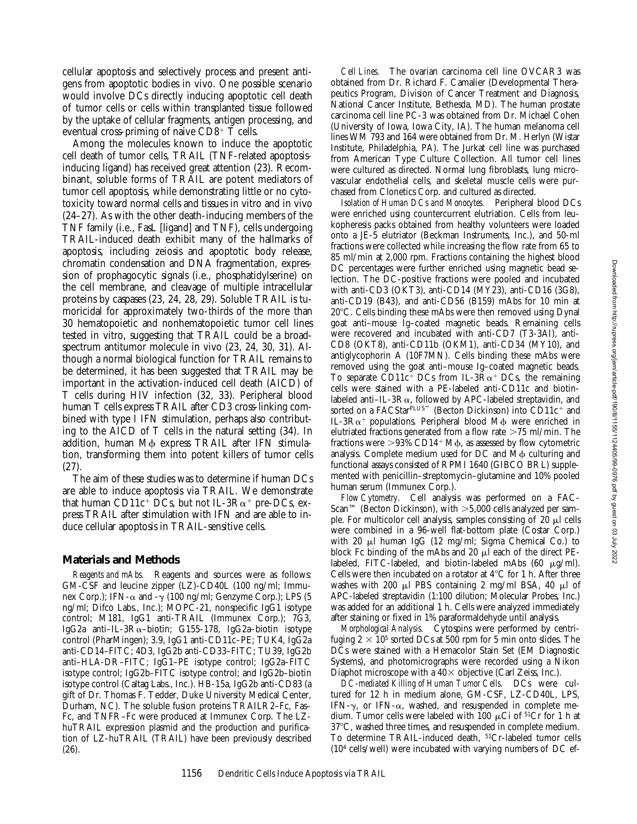cellular apoptosis and selectively process and present antigens from apoptotic bodies in vivo. One possible scenario would involve DCs directly inducing apoptotic cell death of tumor cells or cells within transplanted tissue followed by the uptake of cellular fragments, antigen processing, and eventual cross-priming of naive  $CD8^+$  T cells.

Among the molecules known to induce the apoptotic cell death of tumor cells, TRAIL (TNF-related apoptosisinducing ligand) has received great attention (23). Recombinant, soluble forms of TRAIL are potent mediators of tumor cell apoptosis, while demonstrating little or no cytotoxicity toward normal cells and tissues in vitro and in vivo (24–27). As with the other death-inducing members of the TNF family (i.e., FasL [ligand] and TNF), cells undergoing TRAIL-induced death exhibit many of the hallmarks of apoptosis, including zeiosis and apoptotic body release, chromatin condensation and DNA fragmentation, expression of prophagocytic signals (i.e., phosphatidylserine) on the cell membrane, and cleavage of multiple intracellular proteins by caspases (23, 24, 28, 29). Soluble TRAIL is tumoricidal for approximately two-thirds of the more than 30 hematopoietic and nonhematopoietic tumor cell lines tested in vitro, suggesting that TRAIL could be a broadspectrum antitumor molecule in vivo (23, 24, 30, 31). Although a normal biological function for TRAIL remains to be determined, it has been suggested that TRAIL may be important in the activation-induced cell death (AICD) of T cells during HIV infection (32, 33). Peripheral blood human T cells express TRAIL after CD3 cross-linking combined with type I IFN stimulation, perhaps also contributing to the AICD of T cells in the natural setting (34). In addition, human M $\phi$  express TRAIL after IFN stimulation, transforming them into potent killers of tumor cells (27).

The aim of these studies was to determine if human DCs are able to induce apoptosis via TRAIL. We demonstrate that human CD11c<sup>+</sup> DCs, but not IL-3R $\alpha$ <sup>+</sup> pre-DCs, express TRAIL after stimulation with IFN and are able to induce cellular apoptosis in TRAIL-sensitive cells.

#### **Materials and Methods**

*Reagents and mAbs.* Reagents and sources were as follows: GM-CSF and leucine zipper (LZ)-CD40L (100 ng/ml; Immunex Corp.); IFN- $\alpha$  and - $\gamma$  (100 ng/ml; Genzyme Corp.); LPS (5 ng/ml; Difco Labs., Inc.); MOPC-21, nonspecific IgG1 isotype control; M181, IgG1 anti-TRAIL (Immunex Corp.); 7G3, IgG2a anti–IL-3Ra–biotin; G155-178, IgG2a–biotin isotype control (PharMingen); 3.9, IgG1 anti-CD11c–PE; TUK4, IgG2a anti-CD14–FITC; 4D3, IgG2b anti-CD33–FITC; TU39, IgG2b anti–HLA-DR–FITC; IgG1–PE isotype control; IgG2a–FITC isotype control; IgG2b–FITC isotype control; and IgG2b–biotin isotype control (Caltag Labs., Inc.). HB-15a, IgG2b anti-CD83 (a gift of Dr. Thomas F. Tedder, Duke University Medical Center, Durham, NC). The soluble fusion proteins TRAILR2–Fc, Fas– Fc, and TNFR–Fc were produced at Immunex Corp. The LZhuTRAIL expression plasmid and the production and purification of LZ-huTRAIL (TRAIL) have been previously described (26).

*Cell Lines.* The ovarian carcinoma cell line OVCAR3 was obtained from Dr. Richard F. Camalier (Developmental Therapeutics Program, Division of Cancer Treatment and Diagnosis, National Cancer Institute, Bethesda, MD). The human prostate carcinoma cell line PC-3 was obtained from Dr. Michael Cohen (University of Iowa, Iowa City, IA). The human melanoma cell lines WM 793 and 164 were obtained from Dr. M. Herlyn (Wistar Institute, Philadelphia, PA). The Jurkat cell line was purchased from American Type Culture Collection. All tumor cell lines were cultured as directed. Normal lung fibroblasts, lung microvascular endothelial cells, and skeletal muscle cells were purchased from Clonetics Corp. and cultured as directed.

*Isolation of Human DCs and Monocytes.* Peripheral blood DCs were enriched using countercurrent elutriation. Cells from leukopheresis packs obtained from healthy volunteers were loaded onto a JE-5 elutriator (Beckman Instruments, Inc.), and 50-ml fractions were collected while increasing the flow rate from 65 to 85 ml/min at 2,000 rpm. Fractions containing the highest blood DC percentages were further enriched using magnetic bead selection. The DC-positive fractions were pooled and incubated with anti-CD3 (OKT3), anti-CD14 (MY23), anti-CD16 (3G8), anti-CD19 (B43), and anti-CD56 (B159) mAbs for 10 min at  $20^{\circ}$ C. Cells binding these mAbs were then removed using Dynal goat anti–mouse Ig–coated magnetic beads. Remaining cells were recovered and incubated with anti-CD7 (T3-3AI), anti-CD8 (OKT8), anti-CD11b (OKM1), anti-CD34 (MY10), and antiglycophorin A (10F7MN). Cells binding these mAbs were removed using the goat anti–mouse Ig–coated magnetic beads. To separate CD11c<sup>+</sup> DCs from IL-3R $\alpha$ <sup>+</sup> DCs, the remaining cells were stained with a PE-labeled anti-CD11c and biotinlabeled anti-IL-3R $\alpha$ , followed by APC-labeled streptavidin, and sorted on a FACStar<sup>PLUS™</sup> (Becton Dickinson) into CD11c<sup>+</sup> and IL-3 $R\alpha$ <sup>+</sup> populations. Peripheral blood M $\phi$  were enriched in elutriated fractions generated from a flow rate  $>75$  ml/min. The fractions were  $>93\%$  CD14<sup>+</sup> M $\phi$ , as assessed by flow cytometric analysis. Complete medium used for DC and  $\dot{M}\phi$  culturing and functional assays consisted of RPMI 1640 (GIBCO BRL) supplemented with penicillin–streptomycin–glutamine and 10% pooled human serum (Immunex Corp.).

*Flow Cytometry.* Cell analysis was performed on a FAC-Scan™ (Becton Dickinson), with  $>5,000$  cells analyzed per sample. For multicolor cell analysis, samples consisting of  $20 \mu l$  cells were combined in a 96-well flat-bottom plate (Costar Corp.) with 20  $\mu$ l human IgG (12 mg/ml; Sigma Chemical Co.) to block Fc binding of the mAbs and 20  $\mu$ l each of the direct PElabeled, FITC-labeled, and biotin-labeled mAbs  $(60 \mu g/ml)$ . Cells were then incubated on a rotator at  $4^{\circ}$ C for 1 h. After three washes with 200  $\mu$ l PBS containing 2 mg/ml BSA, 40  $\mu$ l of APC-labeled streptavidin (1:100 dilution; Molecular Probes, Inc.) was added for an additional 1 h. Cells were analyzed immediately after staining or fixed in 1% paraformaldehyde until analysis.

*Morphological Analysis.* Cytospins were performed by centrifuging  $2 \times 10^5$  sorted DCs at 500 rpm for 5 min onto slides. The DCs were stained with a Hemacolor Stain Set (EM Diagnostic Systems), and photomicrographs were recorded using a Nikon Diaphot microscope with a  $40\times$  objective (Carl Zeiss, Inc.).

*DC-mediated Killing of Human Tumor Cells.* DCs were cultured for 12 h in medium alone, GM-CSF, LZ-CD40L, LPS, IFN- $\gamma$ , or IFN- $\alpha$ , washed, and resuspended in complete medium. Tumor cells were labeled with 100  $\mu$ Ci of <sup>51</sup>Cr for 1 h at 37°C, washed three times, and resuspended in complete medium. To determine TRAIL-induced death, 51Cr-labeled tumor cells  $(10<sup>4</sup>$  cells/well) were incubated with varying numbers of DC ef-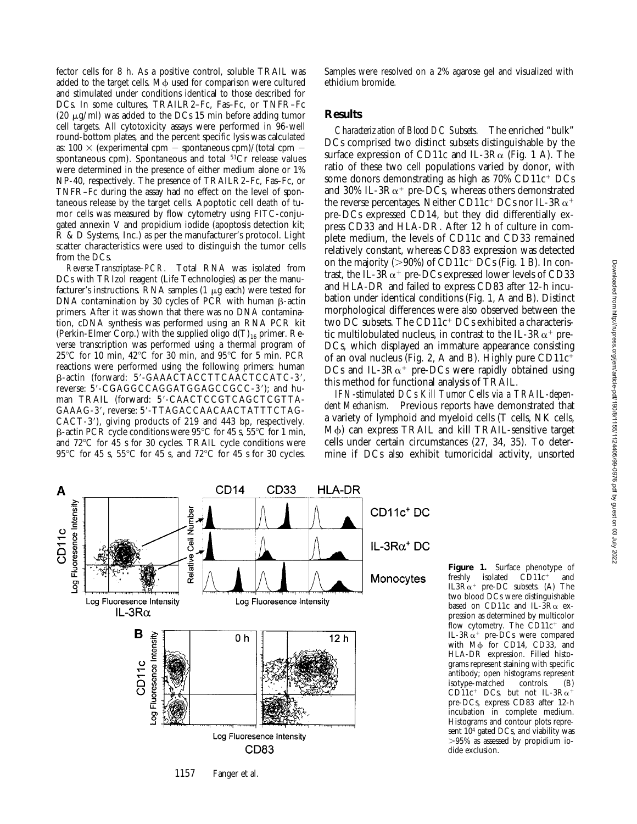Downloaded from http://tupress.org/jem/article-pdf/190/8/1155/1124405/99-0976.pdf by guest on 03 July 2022 Downloaded from http://rupress.org/jem/article-pdf/190/8/1155/1124405/99-0976.pdf by guest on 03 July 2022

fector cells for 8 h. As a positive control, soluble TRAIL was added to the target cells. M $\phi$  used for comparison were cultured and stimulated under conditions identical to those described for DCs. In some cultures, TRAILR2–Fc, Fas–Fc, or TNFR–Fc (20  $\mu$ g/ml) was added to the DCs 15 min before adding tumor cell targets. All cytotoxicity assays were performed in 96-well round-bottom plates, and the percent specific lysis was calculated as:  $100 \times$  (experimental cpm - spontaneous cpm)/(total cpm spontaneous cpm). Spontaneous and total 51Cr release values were determined in the presence of either medium alone or 1% NP-40, respectively. The presence of TRAILR2–Fc, Fas–Fc, or TNFR–Fc during the assay had no effect on the level of spontaneous release by the target cells. Apoptotic cell death of tumor cells was measured by flow cytometry using FITC-conjugated annexin V and propidium iodide (apoptosis detection kit; R & D Systems, Inc.) as per the manufacturer's protocol. Light scatter characteristics were used to distinguish the tumor cells from the DCs.

*Reverse Transcriptase–PCR.* Total RNA was isolated from DCs with TRIzol reagent (Life Technologies) as per the manufacturer's instructions. RNA samples (1  $\mu$ g each) were tested for DNA contamination by 30 cycles of PCR with human  $\beta$ -actin primers. After it was shown that there was no DNA contamination, cDNA synthesis was performed using an RNA PCR kit (Perkin-Elmer Corp.) with the supplied oligo  $d(T)_{16}$  primer. Reverse transcription was performed using a thermal program of  $25^{\circ}$ C for 10 min,  $42^{\circ}$ C for 30 min, and  $95^{\circ}$ C for 5 min. PCR reactions were performed using the following primers: human  $\beta$ -actin (forward: 5'-GAAACTACCTTCAACTCCATC-3', reverse: 5'-CGAGGCCAGGATGGAGCCGCC-3'); and human TRAIL (forward: 5'-CAACTCCGTCAGCTCGTTA-GAAAG-3', reverse: 5'-TTAGACCAACAACTATTTCTAG-CACT-3'), giving products of 219 and 443 bp, respectively.  $\beta$ -actin PCR cycle conditions were 95°C for 45 s, 55°C for 1 min, and  $72^{\circ}$ C for 45 s for 30 cycles. TRAIL cycle conditions were 95°C for 45 s, 55°C for 45 s, and 72°C for 45 s for 30 cycles. Samples were resolved on a 2% agarose gel and visualized with ethidium bromide.

### **Results**

*Characterization of Blood DC Subsets.* The enriched "bulk" DCs comprised two distinct subsets distinguishable by the surface expression of CD11c and IL-3R $\alpha$  (Fig. 1 A). The ratio of these two cell populations varied by donor, with some donors demonstrating as high as  $70\%$  CD11 $c^+$  DCs and 30% IL-3 $R\alpha$ <sup>+</sup> pre-DCs, whereas others demonstrated the reverse percentages. Neither CD11c<sup>+</sup> DCs nor IL-3R $\alpha$ <sup>+</sup> pre-DCs expressed CD14, but they did differentially express CD33 and HLA-DR. After 12 h of culture in complete medium, the levels of CD11c and CD33 remained relatively constant, whereas CD83 expression was detected on the majority ( $>90\%$ ) of CD11c<sup>+</sup> DCs (Fig. 1 B). In contrast, the IL-3 $R\alpha^+$  pre-DCs expressed lower levels of CD33 and HLA-DR and failed to express CD83 after 12-h incubation under identical conditions (Fig. 1, A and B). Distinct morphological differences were also observed between the two DC subsets. The  $CD11c^+$  DCs exhibited a characteristic multilobulated nucleus, in contrast to the IL-3 $R\alpha^+$  pre-DCs, which displayed an immature appearance consisting of an oval nucleus (Fig. 2, A and B). Highly pure  $CD11c^+$ DCs and IL-3 $R\alpha$ <sup>+</sup> pre-DCs were rapidly obtained using this method for functional analysis of TRAIL.

*IFN-stimulated DCs Kill Tumor Cells via a TRAIL-dependent Mechanism.* Previous reports have demonstrated that a variety of lymphoid and myeloid cells (T cells, NK cells,  $M\phi$ ) can express TRAIL and kill TRAIL-sensitive target cells under certain circumstances (27, 34, 35). To determine if DCs also exhibit tumoricidal activity, unsorted



**Figure 1.** Surface phenotype of freshly isolated CD11c<sup>+</sup> and isolated  $\overrightarrow{CD}11c^+$ IL3 $R\alpha^+$  pre-DC subsets. (A) The two blood DCs were distinguishable based on CD11c and IL- $\overline{3R\alpha}$  expression as determined by multicolor flow cytometry. The  $CD11c^{+}$  and IL-3 $R\alpha^+$  pre-DCs were compared with M<sub>p</sub> for CD14, CD33, and HLA-DR expression. Filled histograms represent staining with specific antibody; open histograms represent isotype-matched controls. (B)  $CD11c^+$  DCs, but not IL-3R $\alpha^+$ pre-DCs, express CD83 after 12-h incubation in complete medium. Histograms and contour plots represent  $10<sup>4</sup>$  gated DCs, and viability was  $>95\%$  as assessed by propidium iodide exclusion.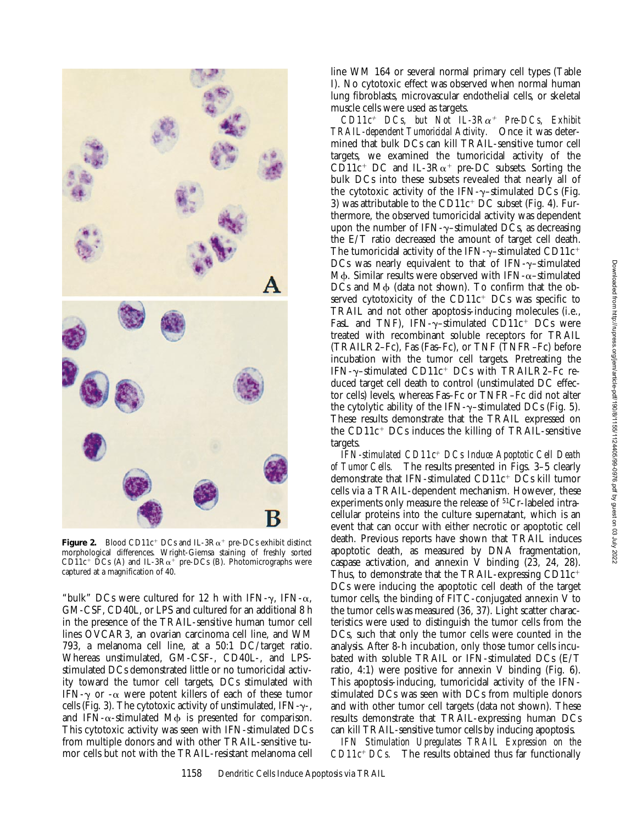

**Figure 2.** Blood CD11c<sup>+</sup> DCs and IL-3R $\alpha$ <sup>+</sup> pre-DCs exhibit distinct morphological differences. Wright-Giemsa staining of freshly sorted CD11c<sup>+</sup> DCs (A) and IL-3R $\alpha$ <sup>+</sup> pre-DCs (B). Photomicrographs were captured at a magnification of 40.

"bulk" DCs were cultured for 12 h with IFN- $\gamma$ , IFN- $\alpha$ , GM-CSF, CD40L, or LPS and cultured for an additional 8 h in the presence of the TRAIL-sensitive human tumor cell lines OVCAR3, an ovarian carcinoma cell line, and WM 793, a melanoma cell line, at a 50:1 DC/target ratio. Whereas unstimulated, GM-CSF-, CD40L-, and LPSstimulated DCs demonstrated little or no tumoricidal activity toward the tumor cell targets, DCs stimulated with IFN- $\gamma$  or - $\alpha$  were potent killers of each of these tumor cells (Fig. 3). The cytotoxic activity of unstimulated, IFN- $\gamma$ -, and IFN- $\alpha$ -stimulated M $\phi$  is presented for comparison. This cytotoxic activity was seen with IFN-stimulated DCs from multiple donors and with other TRAIL-sensitive tumor cells but not with the TRAIL-resistant melanoma cell line WM 164 or several normal primary cell types (Table I). No cytotoxic effect was observed when normal human lung fibroblasts, microvascular endothelial cells, or skeletal muscle cells were used as targets.

 $CD11c^{+}$  *DCs, but Not IL-3Ra<sup>+</sup> Pre-DCs, Exhibit TRAIL-dependent Tumoricidal Activity.* Once it was determined that bulk DCs can kill TRAIL-sensitive tumor cell targets, we examined the tumoricidal activity of the CD11c<sup>+</sup> DC and IL-3R $\alpha$ <sup>+</sup> pre-DC subsets. Sorting the bulk DCs into these subsets revealed that nearly all of the cytotoxic activity of the IFN- $\gamma$ -stimulated DCs (Fig. 3) was attributable to the  $CD11c^+$  DC subset (Fig. 4). Furthermore, the observed tumoricidal activity was dependent upon the number of IFN- $\gamma$ -stimulated DCs, as decreasing the E/T ratio decreased the amount of target cell death. The tumoricidal activity of the IFN- $\gamma$ -stimulated CD11c<sup>+</sup> DCs was nearly equivalent to that of IFN- $\gamma$ -stimulated M $\phi$ . Similar results were observed with IFN- $\alpha$ -stimulated  $DCs$  and  $M\phi$  (data not shown). To confirm that the observed cytotoxicity of the  $CD11c^+$  DCs was specific to TRAIL and not other apoptosis-inducing molecules (i.e., FasL and TNF), IFN- $\gamma$ -stimulated CD11c<sup>+</sup> DCs were treated with recombinant soluble receptors for TRAIL (TRAILR2–Fc), Fas (Fas–Fc), or TNF (TNFR–Fc) before incubation with the tumor cell targets. Pretreating the IFN- $\gamma$ -stimulated CD11c<sup>+</sup> DCs with TRAILR2–Fc reduced target cell death to control (unstimulated DC effector cells) levels, whereas Fas–Fc or TNFR–Fc did not alter the cytolytic ability of the IFN- $\gamma$ -stimulated DCs (Fig. 5). These results demonstrate that the TRAIL expressed on the  $CD11c^+$  DCs induces the killing of TRAIL-sensitive targets.

*IFN-stimulated CD11c*1 *DCs Induce Apoptotic Cell Death of Tumor Cells.* The results presented in Figs. 3–5 clearly demonstrate that IFN-stimulated  $CD11c^+$  DCs kill tumor cells via a TRAIL-dependent mechanism. However, these experiments only measure the release of <sup>51</sup>Cr-labeled intracellular proteins into the culture supernatant, which is an event that can occur with either necrotic or apoptotic cell death. Previous reports have shown that TRAIL induces apoptotic death, as measured by DNA fragmentation, caspase activation, and annexin V binding (23, 24, 28). Thus, to demonstrate that the TRAIL-expressing  $CD11c^+$ DCs were inducing the apoptotic cell death of the target tumor cells, the binding of FITC-conjugated annexin V to the tumor cells was measured (36, 37). Light scatter characteristics were used to distinguish the tumor cells from the DCs, such that only the tumor cells were counted in the analysis. After 8-h incubation, only those tumor cells incubated with soluble TRAIL or IFN-stimulated DCs (E/T ratio, 4:1) were positive for annexin V binding (Fig.  $6$ ). This apoptosis-inducing, tumoricidal activity of the IFNstimulated DCs was seen with DCs from multiple donors and with other tumor cell targets (data not shown). These results demonstrate that TRAIL-expressing human DCs can kill TRAIL-sensitive tumor cells by inducing apoptosis.

*IFN Stimulation Upregulates TRAIL Expression on the*  $CD11c^{+}$  *DCs*. The results obtained thus far functionally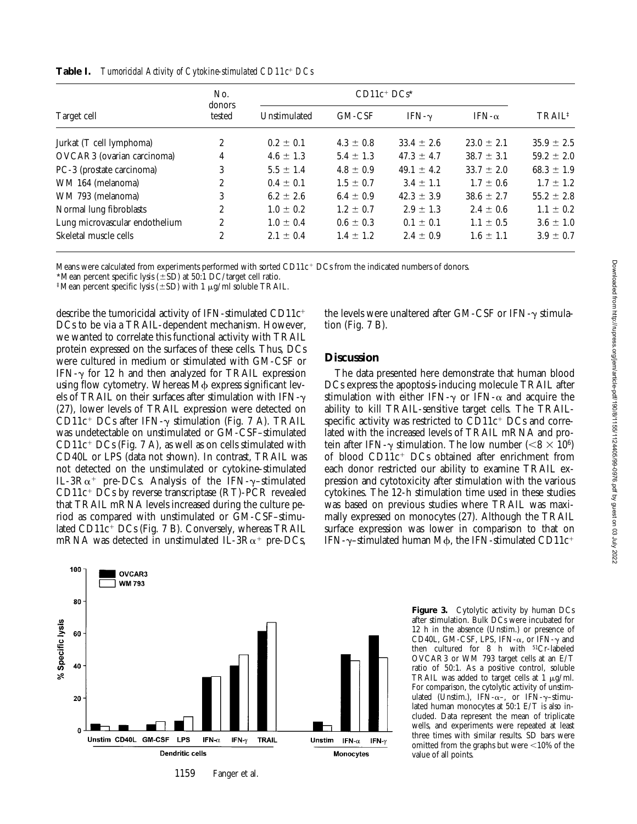| Target cell                    | No.<br>donors<br>tested | $CD11c+DCs*$  |               |                |                |                    |
|--------------------------------|-------------------------|---------------|---------------|----------------|----------------|--------------------|
|                                |                         | Unstimulated  | GM-CSF        | IFN- $\gamma$  | IFN- $\alpha$  | TRAIL <sup>‡</sup> |
| Jurkat (T cell lymphoma)       | $\boldsymbol{2}$        | $0.2 \pm 0.1$ | $4.3 \pm 0.8$ | $33.4 \pm 2.6$ | $23.0 \pm 2.1$ | $35.9 \pm 2.5$     |
| OVCAR3 (ovarian carcinoma)     | 4                       | $4.6 \pm 1.3$ | $5.4 \pm 1.3$ | $47.3 \pm 4.7$ | $38.7 \pm 3.1$ | $59.2 \pm 2.0$     |
| PC-3 (prostate carcinoma)      | 3                       | $5.5 \pm 1.4$ | $4.8 \pm 0.9$ | $49.1 \pm 4.2$ | $33.7 \pm 2.0$ | $68.3 \pm 1.9$     |
| WM 164 (melanoma)              | $\mathbf{2}$            | $0.4 \pm 0.1$ | $1.5 \pm 0.7$ | $3.4 \pm 1.1$  | $1.7 \pm 0.6$  | $1.7 \pm 1.2$      |
| WM 793 (melanoma)              | 3                       | $6.2 \pm 2.6$ | $6.4 \pm 0.9$ | $42.3 \pm 3.9$ | $38.6 \pm 2.7$ | $55.2 \pm 2.8$     |
| Normal lung fibroblasts        | $\overline{c}$          | $1.0 \pm 0.2$ | $1.2 \pm 0.7$ | $2.9 \pm 1.3$  | $2.4 \pm 0.6$  | $1.1 \pm 0.2$      |
| Lung microvascular endothelium | 2                       | $1.0 \pm 0.4$ | $0.6 \pm 0.3$ | $0.1 \pm 0.1$  | $1.1 \pm 0.5$  | $3.6 \pm 1.0$      |
| Skeletal muscle cells          | 2                       | $2.1 \pm 0.4$ | $1.4 \pm 1.2$ | $2.4 \pm 0.9$  | $1.6 \pm 1.1$  | $3.9 \pm 0.7$      |

**Table I.** *Tumoricidal Activity of Cytokine-stimulated CD11c<sup>+</sup> DCs* 

Means were calculated from experiments performed with sorted CD11 $c<sup>+</sup>$ DCs from the indicated numbers of donors.

\*Mean percent specific lysis ( $\pm$ SD) at 50:1 DC/target cell ratio.

<sup>‡</sup>Mean percent specific lysis ( $\pm$ SD) with 1 µg/ml soluble TRAIL.

describe the tumoricidal activity of IFN-stimulated CD11 $c^+$ DCs to be via a TRAIL-dependent mechanism. However, we wanted to correlate this functional activity with TRAIL protein expressed on the surfaces of these cells. Thus, DCs were cultured in medium or stimulated with GM-CSF or IFN- $\gamma$  for 12 h and then analyzed for TRAIL expression using flow cytometry. Whereas  $M\phi$  express significant levels of TRAIL on their surfaces after stimulation with  $IFN-\gamma$ (27), lower levels of TRAIL expression were detected on CD11c<sup>+</sup> DCs after IFN- $\gamma$  stimulation (Fig. 7 A). TRAIL was undetectable on unstimulated or GM-CSF–stimulated  $CD11c^+$  DCs (Fig. 7 A), as well as on cells stimulated with CD40L or LPS (data not shown). In contrast, TRAIL was not detected on the unstimulated or cytokine-stimulated IL-3 $R\alpha^+$  pre-DCs. Analysis of the IFN- $\gamma$ -stimulated  $CD11c^+$  DCs by reverse transcriptase (RT)-PCR revealed that TRAIL mRNA levels increased during the culture period as compared with unstimulated or GM-CSF–stimulated  $CD11c^+$  DCs (Fig. 7 B). Conversely, whereas TRAIL mRNA was detected in unstimulated IL-3R $\alpha^+$  pre-DCs,



### **Discussion**

The data presented here demonstrate that human blood DCs express the apoptosis-inducing molecule TRAIL after stimulation with either IFN- $\gamma$  or IFN- $\alpha$  and acquire the ability to kill TRAIL-sensitive target cells. The TRAILspecific activity was restricted to  $CD11c^+$  DCs and correlated with the increased levels of TRAIL mRNA and protein after IFN- $\gamma$  stimulation. The low number ( $< 8 \times 10^6$ ) of blood  $CD11c^+$  DCs obtained after enrichment from each donor restricted our ability to examine TRAIL expression and cytotoxicity after stimulation with the various cytokines. The 12-h stimulation time used in these studies was based on previous studies where TRAIL was maximally expressed on monocytes (27). Although the TRAIL surface expression was lower in comparison to that on IFN- $\gamma$ –stimulated human M $\phi$ , the IFN-stimulated CD11c<sup>+</sup>



Figure 3. Cytolytic activity by human DCs after stimulation. Bulk DCs were incubated for 12 h in the absence (Unstim.) or presence of CD40L, GM-CSF, LPS, IFN- $\alpha$ , or IFN- $\gamma$  and then cultured for 8 h with 51Cr-labeled OVCAR3 or WM 793 target cells at an E/T ratio of 50:1. As a positive control, soluble TRAIL was added to target cells at  $1 \mu g/ml$ . For comparison, the cytolytic activity of unstimulated (Unstim.), IFN- $\alpha$ –, or IFN- $\gamma$ –stimulated human monocytes at 50:1 E/T is also included. Data represent the mean of triplicate wells, and experiments were repeated at least three times with similar results. SD bars were omitted from the graphs but were  $<$ 10% of the value of all points.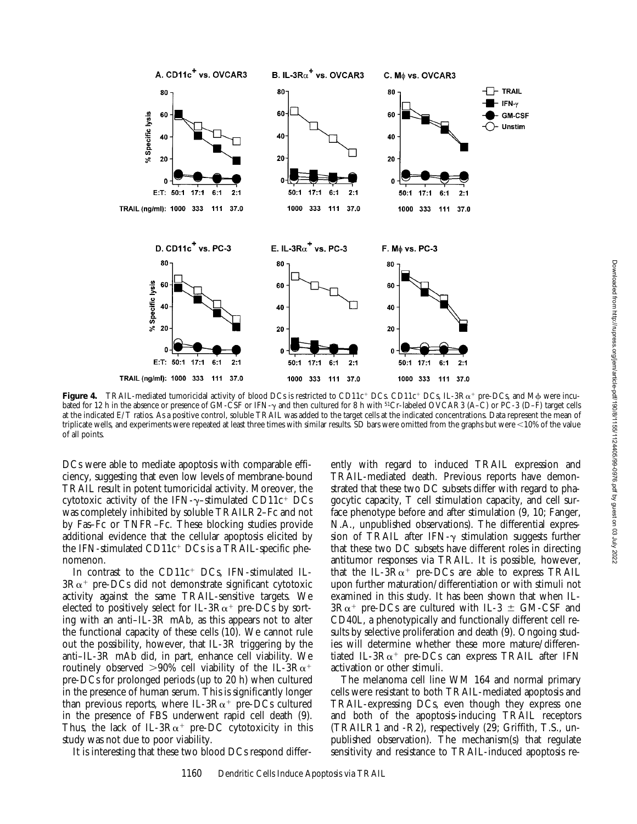

**Figure 4.** TRAIL-mediated tumoricidal activity of blood DCs is restricted to CD11c<sup>+</sup> DCs. CD11c<sup>+</sup> DCs, IL-3R $\alpha$ <sup>+</sup> pre-DCs, and M $\phi$  were incubated for 12 h in the absence or presence of GM-CSF or IFN- $\gamma$  and then cultured for 8 h with <sup>51</sup>Cr-labeled OVCAR3 (A–C) or PC-3 (D–F) target cells at the indicated E/T ratios. As a positive control, soluble TRAIL was added to the target cells at the indicated concentrations. Data represent the mean of triplicate wells, and experiments were repeated at least three times with similar results. SD bars were omitted from the graphs but were ,10% of the value of all points.

DCs were able to mediate apoptosis with comparable efficiency, suggesting that even low levels of membrane-bound TRAIL result in potent tumoricidal activity. Moreover, the cytotoxic activity of the IFN- $\gamma$ -stimulated CD11c<sup>+</sup> DCs was completely inhibited by soluble TRAILR2–Fc and not by Fas–Fc or TNFR–Fc. These blocking studies provide additional evidence that the cellular apoptosis elicited by the IFN-stimulated  $CD11c^+$  DCs is a TRAIL-specific phenomenon.

In contrast to the CD11c<sup>+</sup> DCs, IFN-stimulated IL- $3R\alpha^+$  pre-DCs did not demonstrate significant cytotoxic activity against the same TRAIL-sensitive targets. We elected to positively select for IL-3 $R\alpha^+$  pre-DCs by sorting with an anti–IL-3R mAb, as this appears not to alter the functional capacity of these cells (10). We cannot rule out the possibility, however, that IL-3R triggering by the anti–IL-3R mAb did, in part, enhance cell viability. We routinely observed  $>90\%$  cell viability of the IL-3R $\alpha^+$ pre-DCs for prolonged periods (up to 20 h) when cultured in the presence of human serum. This is significantly longer than previous reports, where IL-3 $R\alpha^+$  pre-DCs cultured in the presence of FBS underwent rapid cell death (9). Thus, the lack of IL-3 $R\alpha^+$  pre-DC cytotoxicity in this study was not due to poor viability.

It is interesting that these two blood DCs respond differ-

ently with regard to induced TRAIL expression and TRAIL-mediated death. Previous reports have demonstrated that these two DC subsets differ with regard to phagocytic capacity, T cell stimulation capacity, and cell surface phenotype before and after stimulation (9, 10; Fanger, N.A., unpublished observations). The differential expression of TRAIL after IFN- $\gamma$  stimulation suggests further that these two DC subsets have different roles in directing antitumor responses via TRAIL. It is possible, however, that the IL-3 $R\alpha^+$  pre-DCs are able to express TRAIL upon further maturation/differentiation or with stimuli not examined in this study. It has been shown that when IL- $3R\alpha^+$  pre-DCs are cultured with IL-3  $\pm$  GM-CSF and CD40L, a phenotypically and functionally different cell results by selective proliferation and death (9). Ongoing studies will determine whether these more mature/differentiated IL-3 $R\alpha$ <sup>+</sup> pre-DCs can express TRAIL after IFN activation or other stimuli.

The melanoma cell line WM 164 and normal primary cells were resistant to both TRAIL-mediated apoptosis and TRAIL-expressing DCs, even though they express one and both of the apoptosis-inducing TRAIL receptors (TRAILR1 and -R2), respectively (29; Griffith, T.S., unpublished observation). The mechanism(s) that regulate sensitivity and resistance to TRAIL-induced apoptosis re-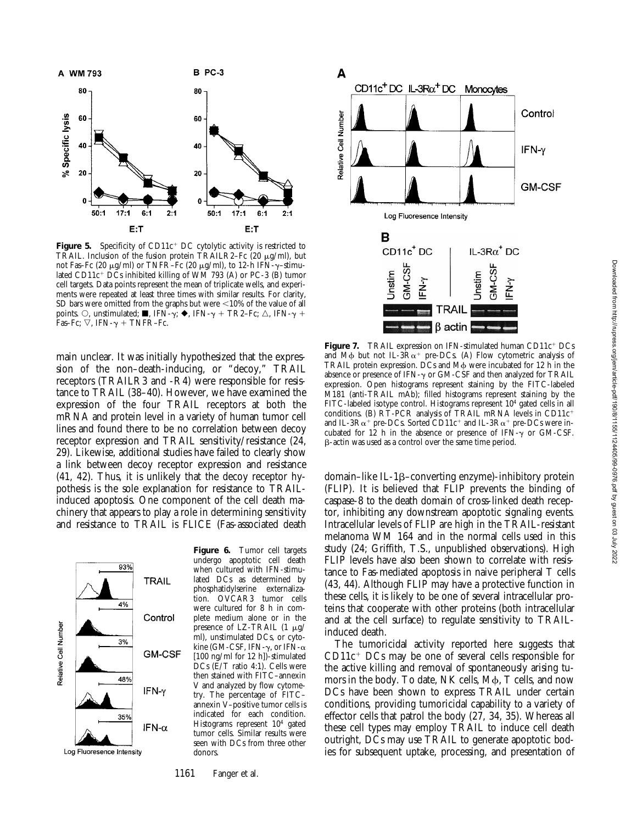

Figure 5. Specificity of CD11c<sup>+</sup> DC cytolytic activity is restricted to TRAIL. Inclusion of the fusion protein TRAILR2–Fc  $(20 \mu g/ml)$ , but not Fas–Fc (20  $\mu$ g/ml) or TNFR–Fc (20  $\mu$ g/ml), to 12-h IFN- $\gamma$ –stimulated CD11 $c^+$  DCs inhibited killing of WM 793 (A) or PC-3 (B) tumor cell targets. Data points represent the mean of triplicate wells, and experiments were repeated at least three times with similar results. For clarity, SD bars were omitted from the graphs but were  $<$ 10% of the value of all points.  $\circ$ , unstimulated;  $\blacksquare$ , IFN- $\gamma$ ;  $\blacklozenge$ , IFN- $\gamma$  + TR2–Fc;  $\triangle$ , IFN- $\gamma$  + Fas–Fc;  $\nabla$ , IFN- $\gamma$  + TNFR–Fc.

main unclear. It was initially hypothesized that the expression of the non–death-inducing, or "decoy," TRAIL receptors (TRAILR3 and -R4) were responsible for resistance to TRAIL (38–40). However, we have examined the expression of the four TRAIL receptors at both the mRNA and protein level in a variety of human tumor cell lines and found there to be no correlation between decoy receptor expression and TRAIL sensitivity/resistance (24, 29). Likewise, additional studies have failed to clearly show a link between decoy receptor expression and resistance (41, 42). Thus, it is unlikely that the decoy receptor hypothesis is the sole explanation for resistance to TRAILinduced apoptosis. One component of the cell death machinery that appears to play a role in determining sensitivity and resistance to TRAIL is FLICE (Fas-associated death



**Figure 6.** Tumor cell targets undergo apoptotic cell death when cultured with IFN-stimulated DCs as determined by phosphatidylserine externalization. OVCAR3 tumor cells were cultured for 8 h in complete medium alone or in the presence of LZ-TRAIL  $(1 \mu g)$ ml), unstimulated DCs, or cytokine (GM-CSF, IFN- $\gamma$ , or IFN- $\alpha$ [100 ng/ml for 12 h])-stimulated DCs (E/T ratio 4:1). Cells were then stained with FITC–annexin V and analyzed by flow cytometry. The percentage of FITC– annexin V–positive tumor cells is indicated for each condition. Histograms represent 104 gated tumor cells. Similar results were seen with DCs from three other donors.

1161 Fanger et al.



**Figure 7.** TRAIL expression on IFN-stimulated human CD11c<sup>+</sup> DCs and M $\phi$  but not IL-3R $\alpha$ <sup>+</sup> pre-DCs. (A) Flow cytometric analysis of TRAIL protein expression.  $\overrightarrow{DCs}$  and  $M\phi$  were incubated for 12 h in the absence or presence of IFN- $\gamma$  or GM-CSF and then analyzed for TRAIL expression. Open histograms represent staining by the FITC-labeled M181 (anti-TRAIL mAb); filled histograms represent staining by the FITC-labeled isotype control. Histograms represent 104 gated cells in all conditions. (B)  $\angle RT$ -PCR analysis of TRAIL mRNA levels in CD11 $c^+$ and IL-3R $\alpha^+$  pre-DCs. Sorted CD11c<sup>+</sup> and IL-3R $\alpha^+$  pre-DCs were incubated for 12 h in the absence or presence of IFN- $\gamma$  or GM-CSF. b-actin was used as a control over the same time period.

domain–like IL-1b–converting enzyme)-inhibitory protein (FLIP). It is believed that FLIP prevents the binding of caspase-8 to the death domain of cross-linked death receptor, inhibiting any downstream apoptotic signaling events. Intracellular levels of FLIP are high in the TRAIL-resistant melanoma WM 164 and in the normal cells used in this study (24; Griffith, T.S., unpublished observations). High FLIP levels have also been shown to correlate with resistance to Fas-mediated apoptosis in naive peripheral T cells (43, 44). Although FLIP may have a protective function in these cells, it is likely to be one of several intracellular proteins that cooperate with other proteins (both intracellular and at the cell surface) to regulate sensitivity to TRAILinduced death.

The tumoricidal activity reported here suggests that  $CD11c^+$  DCs may be one of several cells responsible for the active killing and removal of spontaneously arising tumors in the body. To date, NK cells, M $\phi$ , T cells, and now DCs have been shown to express TRAIL under certain conditions, providing tumoricidal capability to a variety of effector cells that patrol the body (27, 34, 35). Whereas all these cell types may employ TRAIL to induce cell death outright, DCs may use TRAIL to generate apoptotic bodies for subsequent uptake, processing, and presentation of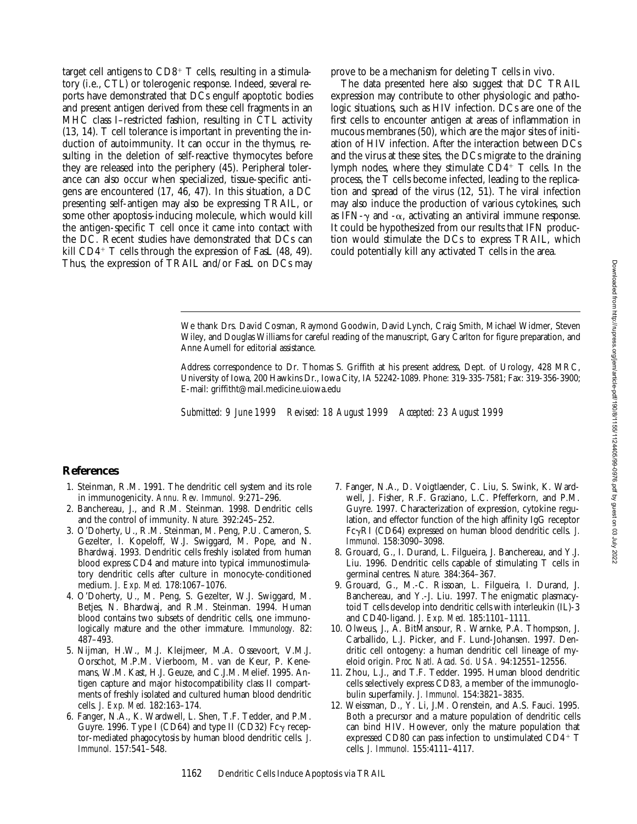target cell antigens to  $CD8<sup>+</sup>$  T cells, resulting in a stimulatory (i.e., CTL) or tolerogenic response. Indeed, several reports have demonstrated that DCs engulf apoptotic bodies and present antigen derived from these cell fragments in an MHC class I–restricted fashion, resulting in CTL activity (13, 14). T cell tolerance is important in preventing the induction of autoimmunity. It can occur in the thymus, resulting in the deletion of self-reactive thymocytes before they are released into the periphery (45). Peripheral tolerance can also occur when specialized, tissue-specific antigens are encountered (17, 46, 47). In this situation, a DC presenting self-antigen may also be expressing TRAIL, or some other apoptosis-inducing molecule, which would kill the antigen-specific T cell once it came into contact with the DC. Recent studies have demonstrated that DCs can kill  $CD4+T$  cells through the expression of FasL (48, 49). Thus, the expression of TRAIL and/or FasL on DCs may

prove to be a mechanism for deleting T cells in vivo.

The data presented here also suggest that DC TRAIL expression may contribute to other physiologic and pathologic situations, such as HIV infection. DCs are one of the first cells to encounter antigen at areas of inflammation in mucous membranes (50), which are the major sites of initiation of HIV infection. After the interaction between DCs and the virus at these sites, the DCs migrate to the draining lymph nodes, where they stimulate  $CD4^+$  T cells. In the process, the T cells become infected, leading to the replication and spread of the virus (12, 51). The viral infection may also induce the production of various cytokines, such as IFN- $\gamma$  and - $\alpha$ , activating an antiviral immune response. It could be hypothesized from our results that IFN production would stimulate the DCs to express TRAIL, which could potentially kill any activated T cells in the area.

We thank Drs. David Cosman, Raymond Goodwin, David Lynch, Craig Smith, Michael Widmer, Steven Wiley, and Douglas Williams for careful reading of the manuscript, Gary Carlton for figure preparation, and Anne Aumell for editorial assistance.

Address correspondence to Dr. Thomas S. Griffith at his present address, Dept. of Urology, 428 MRC, University of Iowa, 200 Hawkins Dr., Iowa City, IA 52242-1089. Phone: 319-335-7581; Fax: 319-356-3900; E-mail: griffitht@mail.medicine.uiowa.edu

*Submitted: 9 June 1999 Revised: 18 August 1999 Accepted: 23 August 1999*

## **References**

- 1. Steinman, R.M. 1991. The dendritic cell system and its role in immunogenicity. *Annu. Rev. Immunol.* 9:271–296.
- 2. Banchereau, J., and R.M. Steinman. 1998. Dendritic cells and the control of immunity. *Nature.* 392:245–252.
- 3. O'Doherty, U., R.M. Steinman, M. Peng, P.U. Cameron, S. Gezelter, I. Kopeloff, W.J. Swiggard, M. Pope, and N. Bhardwaj. 1993. Dendritic cells freshly isolated from human blood express CD4 and mature into typical immunostimulatory dendritic cells after culture in monocyte-conditioned medium. *J. Exp. Med.* 178:1067–1076.
- 4. O'Doherty, U., M. Peng, S. Gezelter, W.J. Swiggard, M. Betjes, N. Bhardwaj, and R.M. Steinman. 1994. Human blood contains two subsets of dendritic cells, one immunologically mature and the other immature. *Immunology.* 82: 487–493.
- 5. Nijman, H.W., M.J. Kleijmeer, M.A. Ossevoort, V.M.J. Oorschot, M.P.M. Vierboom, M. van de Keur, P. Kenemans, W.M. Kast, H.J. Geuze, and C.J.M. Melief. 1995. Antigen capture and major histocompatibility class II compartments of freshly isolated and cultured human blood dendritic cells. *J. Exp. Med.* 182:163–174.
- 6. Fanger, N.A., K. Wardwell, L. Shen, T.F. Tedder, and P.M. Guyre. 1996. Type I (CD64) and type II (CD32)  $Fc\gamma$  receptor-mediated phagocytosis by human blood dendritic cells. *J. Immunol.* 157:541–548.
- 7. Fanger, N.A., D. Voigtlaender, C. Liu, S. Swink, K. Wardwell, J. Fisher, R.F. Graziano, L.C. Pfefferkorn, and P.M. Guyre. 1997. Characterization of expression, cytokine regulation, and effector function of the high affinity IgG receptor FcgRI (CD64) expressed on human blood dendritic cells. *J. Immunol.* 158:3090–3098.
- 8. Grouard, G., I. Durand, L. Filgueira, J. Banchereau, and Y.J. Liu. 1996. Dendritic cells capable of stimulating T cells in germinal centres. *Nature.* 384:364–367.
- 9. Grouard, G., M.-C. Rissoan, L. Filgueira, I. Durand, J. Banchereau, and Y.-J. Liu. 1997. The enigmatic plasmacytoid T cells develop into dendritic cells with interleukin (IL)-3 and CD40-ligand. *J. Exp. Med.* 185:1101–1111.
- 10. Olweus, J., A. BitMansour, R. Warnke, P.A. Thompson, J. Carballido, L.J. Picker, and F. Lund-Johansen. 1997. Dendritic cell ontogeny: a human dendritic cell lineage of myeloid origin. *Proc. Natl. Acad. Sci. USA.* 94:12551–12556.
- 11. Zhou, L.J., and T.F. Tedder. 1995. Human blood dendritic cells selectively express CD83, a member of the immunoglobulin superfamily. *J. Immunol.* 154:3821–3835.
- 12. Weissman, D., Y. Li, J.M. Orenstein, and A.S. Fauci. 1995. Both a precursor and a mature population of dendritic cells can bind HIV. However, only the mature population that expressed CD80 can pass infection to unstimulated CD4+  $T$ cells. *J. Immunol.* 155:4111–4117.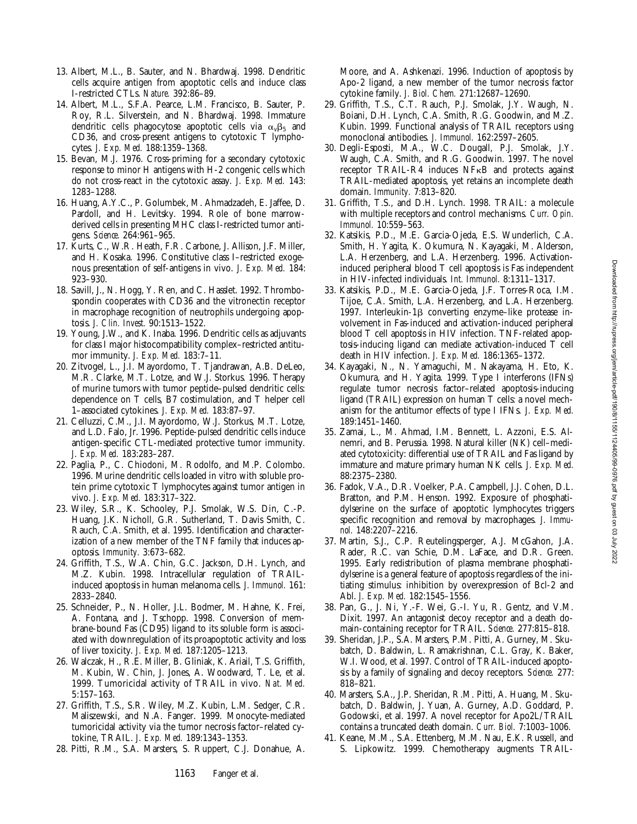- 13. Albert, M.L., B. Sauter, and N. Bhardwaj. 1998. Dendritic cells acquire antigen from apoptotic cells and induce class I-restricted CTLs. *Nature.* 392:86–89.
- 14. Albert, M.L., S.F.A. Pearce, L.M. Francisco, B. Sauter, P. Roy, R.L. Silverstein, and N. Bhardwaj. 1998. Immature dendritic cells phagocytose apoptotic cells via  $\alpha_{\nu}\beta_5$  and CD36, and cross-present antigens to cytotoxic T lymphocytes. *J. Exp. Med.* 188:1359–1368.
- 15. Bevan, M.J. 1976. Cross-priming for a secondary cytotoxic response to minor H antigens with H-2 congenic cells which do not cross-react in the cytotoxic assay. *J. Exp. Med.* 143: 1283–1288.
- 16. Huang, A.Y.C., P. Golumbek, M. Ahmadzadeh, E. Jaffee, D. Pardoll, and H. Levitsky. 1994. Role of bone marrowderived cells in presenting MHC class I-restricted tumor antigens. *Science.* 264:961–965.
- 17. Kurts, C., W.R. Heath, F.R. Carbone, J. Allison, J.F. Miller, and H. Kosaka. 1996. Constitutive class I–restricted exogenous presentation of self-antigens in vivo. *J. Exp. Med.* 184: 923–930.
- 18. Savill, J., N. Hogg, Y. Ren, and C. Hasslet. 1992. Thrombospondin cooperates with CD36 and the vitronectin receptor in macrophage recognition of neutrophils undergoing apoptosis. *J. Clin. Invest.* 90:1513–1522.
- 19. Young, J.W., and K. Inaba. 1996. Dendritic cells as adjuvants for class I major histocompatibility complex–restricted antitumor immunity. *J. Exp. Med.* 183:7–11.
- 20. Zitvogel, L., J.I. Mayordomo, T. Tjandrawan, A.B. DeLeo, M.R. Clarke, M.T. Lotze, and W.J. Storkus. 1996. Therapy of murine tumors with tumor peptide–pulsed dendritic cells: dependence on T cells, B7 costimulation, and T helper cell 1–associated cytokines. *J. Exp. Med.* 183:87–97.
- 21. Celluzzi, C.M., J.I. Mayordomo, W.J. Storkus, M.T. Lotze, and L.D. Falo, Jr. 1996. Peptide-pulsed dendritic cells induce antigen-specific CTL-mediated protective tumor immunity. *J. Exp. Med.* 183:283–287.
- 22. Paglia, P., C. Chiodoni, M. Rodolfo, and M.P. Colombo. 1996. Murine dendritic cells loaded in vitro with soluble protein prime cytotoxic T lymphocytes against tumor antigen in vivo. *J. Exp. Med.* 183:317–322.
- 23. Wiley, S.R., K. Schooley, P.J. Smolak, W.S. Din, C.-P. Huang, J.K. Nicholl, G.R. Sutherland, T. Davis Smith, C. Rauch, C.A. Smith, et al. 1995. Identification and characterization of a new member of the TNF family that induces apoptosis. *Immunity.* 3:673–682.
- 24. Griffith, T.S., W.A. Chin, G.C. Jackson, D.H. Lynch, and M.Z. Kubin. 1998. Intracellular regulation of TRAILinduced apoptosis in human melanoma cells. *J. Immunol.* 161: 2833–2840.
- 25. Schneider, P., N. Holler, J.L. Bodmer, M. Hahne, K. Frei, A. Fontana, and J. Tschopp. 1998. Conversion of membrane-bound Fas (CD95) ligand to its soluble form is associated with downregulation of its proapoptotic activity and loss of liver toxicity. *J. Exp. Med.* 187:1205–1213.
- 26. Walczak, H., R.E. Miller, B. Gliniak, K. Ariail, T.S. Griffith, M. Kubin, W. Chin, J. Jones, A. Woodward, T. Le, et al. 1999. Tumoricidal activity of TRAIL in vivo. *Nat. Med.* 5:157–163.
- 27. Griffith, T.S., S.R. Wiley, M.Z. Kubin, L.M. Sedger, C.R. Maliszewski, and N.A. Fanger. 1999. Monocyte-mediated tumoricidal activity via the tumor necrosis factor–related cytokine, TRAIL. *J. Exp. Med.* 189:1343–1353.
- 28. Pitti, R.M., S.A. Marsters, S. Ruppert, C.J. Donahue, A.

Moore, and A. Ashkenazi. 1996. Induction of apoptosis by Apo-2 ligand, a new member of the tumor necrosis factor cytokine family. *J. Biol. Chem.* 271:12687–12690.

- 29. Griffith, T.S., C.T. Rauch, P.J. Smolak, J.Y. Waugh, N. Boiani, D.H. Lynch, C.A. Smith, R.G. Goodwin, and M.Z. Kubin. 1999. Functional analysis of TRAIL receptors using monoclonal antibodies. *J. Immunol.* 162:2597–2605.
- 30. Degli-Esposti, M.A., W.C. Dougall, P.J. Smolak, J.Y. Waugh, C.A. Smith, and R.G. Goodwin. 1997. The novel receptor TRAIL-R4 induces NFkB and protects against TRAIL-mediated apoptosis, yet retains an incomplete death domain. *Immunity.* 7:813–820.
- 31. Griffith, T.S., and D.H. Lynch. 1998. TRAIL: a molecule with multiple receptors and control mechanisms. *Curr. Opin. Immunol.* 10:559–563.
- 32. Katsikis, P.D., M.E. Garcia-Ojeda, E.S. Wunderlich, C.A. Smith, H. Yagita, K. Okumura, N. Kayagaki, M. Alderson, L.A. Herzenberg, and L.A. Herzenberg. 1996. Activationinduced peripheral blood T cell apoptosis is Fas independent in HIV-infected individuals. *Int. Immunol.* 8:1311–1317.
- 33. Katsikis, P.D., M.E. Garcia-Ojeda, J.F. Torres-Roca, I.M. Tijoe, C.A. Smith, L.A. Herzenberg, and L.A. Herzenberg. 1997. Interleukin-1β converting enzyme–like protease involvement in Fas-induced and activation-induced peripheral blood T cell apoptosis in HIV infection. TNF-related apoptosis-inducing ligand can mediate activation-induced T cell death in HIV infection. *J. Exp. Med.* 186:1365–1372.
- 34. Kayagaki, N., N. Yamaguchi, M. Nakayama, H. Eto, K. Okumura, and H. Yagita. 1999. Type I interferons (IFNs) regulate tumor necrosis factor–related apoptosis-inducing ligand (TRAIL) expression on human T cells: a novel mechanism for the antitumor effects of type I IFNs. *J. Exp. Med.* 189:1451–1460.
- 35. Zamai, L., M. Ahmad, I.M. Bennett, L. Azzoni, E.S. Alnemri, and B. Perussia. 1998. Natural killer (NK) cell–mediated cytotoxicity: differential use of TRAIL and Fas ligand by immature and mature primary human NK cells. *J. Exp. Med.* 88:2375–2380.
- 36. Fadok, V.A., D.R. Voelker, P.A. Campbell, J.J. Cohen, D.L. Bratton, and P.M. Henson. 1992. Exposure of phosphatidylserine on the surface of apoptotic lymphocytes triggers specific recognition and removal by macrophages. *J. Immunol.* 148:2207–2216.
- 37. Martin, S.J., C.P. Reutelingsperger, A.J. McGahon, J.A. Rader, R.C. van Schie, D.M. LaFace, and D.R. Green. 1995. Early redistribution of plasma membrane phosphatidylserine is a general feature of apoptosis regardless of the initiating stimulus: inhibition by overexpression of Bcl-2 and Abl. *J. Exp. Med.* 182:1545–1556.
- 38. Pan, G., J. Ni, Y.-F. Wei, G.-I. Yu, R. Gentz, and V.M. Dixit. 1997. An antagonist decoy receptor and a death domain-containing receptor for TRAIL. *Science.* 277:815–818.
- 39. Sheridan, J.P., S.A. Marsters, P.M. Pitti, A. Gurney, M. Skubatch, D. Baldwin, L. Ramakrishnan, C.L. Gray, K. Baker, W.I. Wood, et al. 1997. Control of TRAIL-induced apoptosis by a family of signaling and decoy receptors. *Science.* 277: 818–821.
- 40. Marsters, S.A., J.P. Sheridan, R.M. Pitti, A. Huang, M. Skubatch, D. Baldwin, J. Yuan, A. Gurney, A.D. Goddard, P. Godowski, et al. 1997. A novel receptor for Apo2L/TRAIL contains a truncated death domain. *Curr. Biol.* 7:1003–1006.
- 41. Keane, M.M., S.A. Ettenberg, M.M. Nau, E.K. Russell, and S. Lipkowitz. 1999. Chemotherapy augments TRAIL-